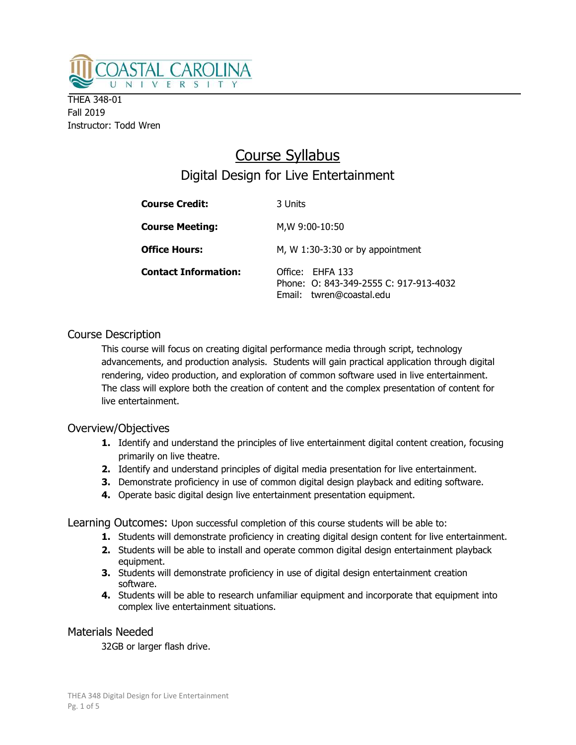

THEA 348-01 Fall 2019 Instructor: Todd Wren

# Course Syllabus Digital Design for Live Entertainment

| <b>Course Credit:</b>       | 3 Units                                                                                |  |
|-----------------------------|----------------------------------------------------------------------------------------|--|
| <b>Course Meeting:</b>      | M,W 9:00-10:50                                                                         |  |
| <b>Office Hours:</b>        | M, W $1:30-3:30$ or by appointment                                                     |  |
| <b>Contact Information:</b> | Office: FHFA 133<br>Phone: 0: 843-349-2555 C: 917-913-4032<br>Email: twren@coastal.edu |  |

# Course Description

This course will focus on creating digital performance media through script, technology advancements, and production analysis. Students will gain practical application through digital rendering, video production, and exploration of common software used in live entertainment. The class will explore both the creation of content and the complex presentation of content for live entertainment.

## Overview/Objectives

- 1. Identify and understand the principles of live entertainment digital content creation, focusing primarily on live theatre.
- 2. Identify and understand principles of digital media presentation for live entertainment.
- **3.** Demonstrate proficiency in use of common digital design playback and editing software.
- 4. Operate basic digital design live entertainment presentation equipment.

Learning Outcomes: Upon successful completion of this course students will be able to:

- 1. Students will demonstrate proficiency in creating digital design content for live entertainment.
- 2. Students will be able to install and operate common digital design entertainment playback equipment.
- **3.** Students will demonstrate proficiency in use of digital design entertainment creation software.
- 4. Students will be able to research unfamiliar equipment and incorporate that equipment into complex live entertainment situations.

## Materials Needed

32GB or larger flash drive.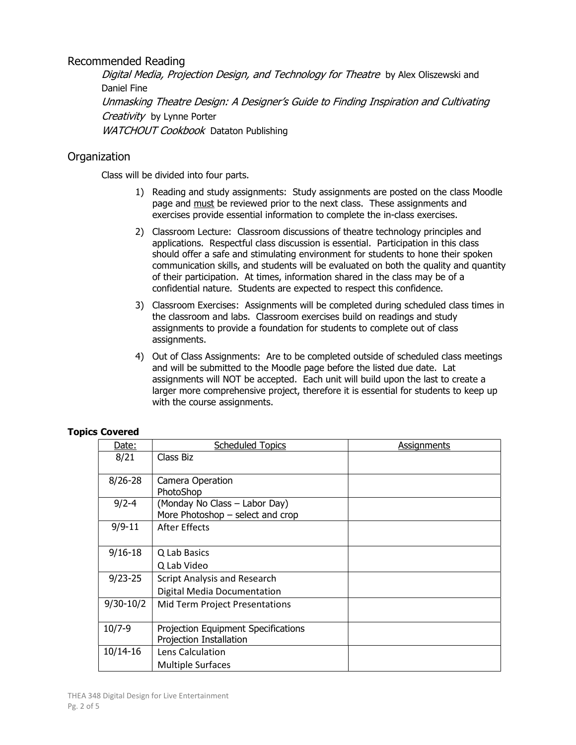## Recommended Reading

Digital Media, Projection Design, and Technology for Theatre by Alex Oliszewski and Daniel Fine Unmasking Theatre Design: A Designer's Guide to Finding Inspiration and Cultivating Creativity by Lynne Porter WATCHOUT Cookbook Dataton Publishing

# **Organization**

Class will be divided into four parts.

- 1) Reading and study assignments: Study assignments are posted on the class Moodle page and must be reviewed prior to the next class. These assignments and exercises provide essential information to complete the in-class exercises.
- 2) Classroom Lecture: Classroom discussions of theatre technology principles and applications. Respectful class discussion is essential. Participation in this class should offer a safe and stimulating environment for students to hone their spoken communication skills, and students will be evaluated on both the quality and quantity of their participation. At times, information shared in the class may be of a confidential nature. Students are expected to respect this confidence.
- 3) Classroom Exercises: Assignments will be completed during scheduled class times in the classroom and labs. Classroom exercises build on readings and study assignments to provide a foundation for students to complete out of class assignments.
- 4) Out of Class Assignments: Are to be completed outside of scheduled class meetings and will be submitted to the Moodle page before the listed due date. Lat assignments will NOT be accepted. Each unit will build upon the last to create a larger more comprehensive project, therefore it is essential for students to keep up with the course assignments.

| Date:         | <b>Scheduled Topics</b>                                           | <b>Assignments</b> |
|---------------|-------------------------------------------------------------------|--------------------|
| 8/21          | Class Biz                                                         |                    |
| $8/26 - 28$   | Camera Operation<br>PhotoShop                                     |                    |
| $9/2 - 4$     | (Monday No Class - Labor Day)<br>More Photoshop - select and crop |                    |
| $9/9 - 11$    | After Effects                                                     |                    |
| $9/16 - 18$   | Q Lab Basics                                                      |                    |
|               | Q Lab Video                                                       |                    |
| $9/23 - 25$   | <b>Script Analysis and Research</b>                               |                    |
|               | Digital Media Documentation                                       |                    |
| $9/30 - 10/2$ | Mid Term Project Presentations                                    |                    |
| $10/7 - 9$    | Projection Equipment Specifications<br>Projection Installation    |                    |
| 10/14-16      | Lens Calculation                                                  |                    |
|               | <b>Multiple Surfaces</b>                                          |                    |

## Topics Covered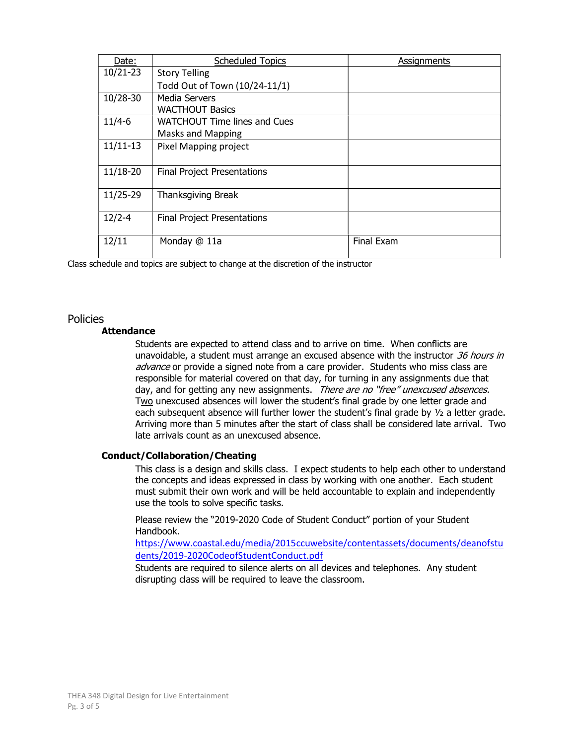| Date:        | <b>Scheduled Topics</b>             | Assignments |
|--------------|-------------------------------------|-------------|
| $10/21 - 23$ | <b>Story Telling</b>                |             |
|              | Todd Out of Town (10/24-11/1)       |             |
| 10/28-30     | Media Servers                       |             |
|              | <b>WACTHOUT Basics</b>              |             |
| $11/4 - 6$   | <b>WATCHOUT Time lines and Cues</b> |             |
|              | <b>Masks and Mapping</b>            |             |
| $11/11-13$   | Pixel Mapping project               |             |
| 11/18-20     | <b>Final Project Presentations</b>  |             |
| 11/25-29     | <b>Thanksgiving Break</b>           |             |
| $12/2 - 4$   | <b>Final Project Presentations</b>  |             |
| 12/11        | Monday @ 11a                        | Final Exam  |

Class schedule and topics are subject to change at the discretion of the instructor

## Policies

## **Attendance**

Students are expected to attend class and to arrive on time. When conflicts are unavoidable, a student must arrange an excused absence with the instructor  $36$  hours in advance or provide a signed note from a care provider. Students who miss class are responsible for material covered on that day, for turning in any assignments due that day, and for getting any new assignments. There are no "free" unexcused absences. Two unexcused absences will lower the student's final grade by one letter grade and each subsequent absence will further lower the student's final grade by  $\frac{1}{2}$  a letter grade. Arriving more than 5 minutes after the start of class shall be considered late arrival. Two late arrivals count as an unexcused absence.

## Conduct/Collaboration/Cheating

This class is a design and skills class. I expect students to help each other to understand the concepts and ideas expressed in class by working with one another. Each student must submit their own work and will be held accountable to explain and independently use the tools to solve specific tasks.

Please review the "2019-2020 Code of Student Conduct" portion of your Student Handbook.

https://www.coastal.edu/media/2015ccuwebsite/contentassets/documents/deanofstu dents/2019-2020CodeofStudentConduct.pdf

Students are required to silence alerts on all devices and telephones. Any student disrupting class will be required to leave the classroom.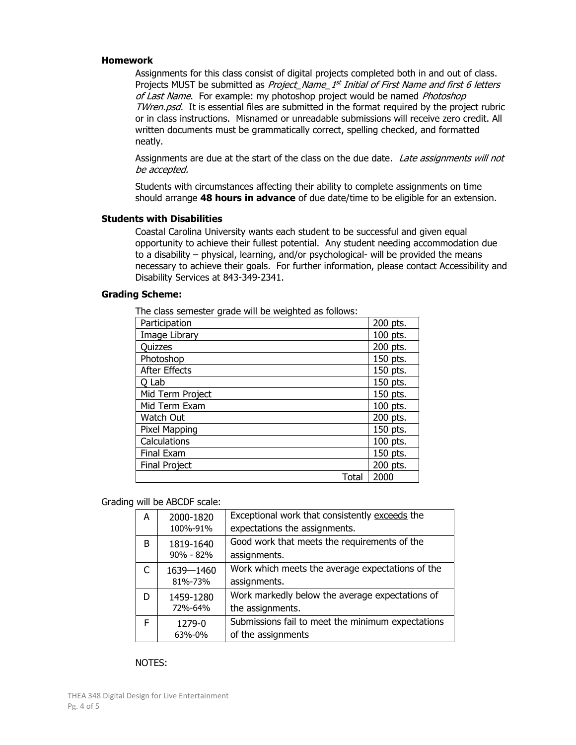#### Homework

Assignments for this class consist of digital projects completed both in and out of class. Projects MUST be submitted as *Project\_Name\_1<sup>st</sup> Initial of First Name and first 6 letters* of Last Name. For example: my photoshop project would be named Photoshop TWren.psd. It is essential files are submitted in the format required by the project rubric or in class instructions. Misnamed or unreadable submissions will receive zero credit. All written documents must be grammatically correct, spelling checked, and formatted neatly.

Assignments are due at the start of the class on the due date. Late assignments will not be accepted.

Students with circumstances affecting their ability to complete assignments on time should arrange 48 hours in advance of due date/time to be eligible for an extension.

#### Students with Disabilities

Coastal Carolina University wants each student to be successful and given equal opportunity to achieve their fullest potential. Any student needing accommodation due to a disability – physical, learning, and/or psychological- will be provided the means necessary to achieve their goals. For further information, please contact Accessibility and Disability Services at 843-349-2341.

## Grading Scheme:

| The class semester grade will be weighted as follows: |          |
|-------------------------------------------------------|----------|
| Participation                                         | 200 pts. |
| Image Library                                         | 100 pts. |
| Quizzes                                               | 200 pts. |
| Photoshop                                             | 150 pts. |
| <b>After Effects</b>                                  | 150 pts. |
| O Lab                                                 | 150 pts. |
| Mid Term Project                                      | 150 pts. |
| Mid Term Exam                                         | 100 pts. |
| Watch Out                                             | 200 pts. |
| Pixel Mapping                                         | 150 pts. |
| Calculations                                          | 100 pts. |
| Final Exam                                            | 150 pts. |
| <b>Final Project</b>                                  | 200 pts. |
| Total                                                 | 2000     |

The class semester grade will be weighted as follows:

#### Grading will be ABCDF scale:

| A | 2000-1820<br>100%-91%  | Exceptional work that consistently exceeds the<br>expectations the assignments. |
|---|------------------------|---------------------------------------------------------------------------------|
| B | 1819-1640<br>90% - 82% | Good work that meets the requirements of the<br>assignments.                    |
|   | 1639-1460<br>81%-73%   | Work which meets the average expectations of the<br>assignments.                |
| D | 1459-1280<br>72%-64%   | Work markedly below the average expectations of<br>the assignments.             |
| F | 1279-0<br>63%-0%       | Submissions fail to meet the minimum expectations<br>of the assignments         |

#### NOTES: